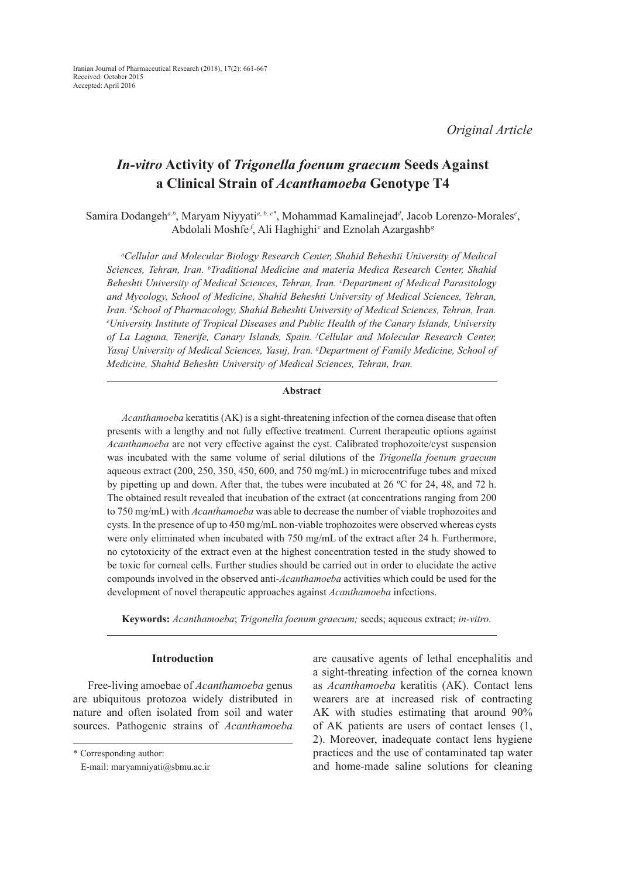# *In-vitro* **Activity of** *Trigonella foenum graecum* **Seeds Against a Clinical Strain of** *Acanthamoeba* **Genotype T4**

Samira Dodangeh<sup>*a,b*</sup>, Maryam Niyyati<sup>a, b, c\*</sup>, Mohammad Kamalinejad<sup>*d*</sup>, Jacob Lorenzo-Morales<sup>*e*</sup>, Abdolali Moshfe<sup>*f*</sup>, Ali Haghighi<sup>c</sup> and Eznolah Azargashb<sup>g</sup>

*a Cellular and Molecular Biology Research Center, Shahid Beheshti University of Medical Sciences, Tehran, Iran. b Traditional Medicine and materia Medica Research Center, Shahid*  Beheshti University of Medical Sciences, Tehran, Iran. <sup>c</sup>Department of Medical Parasitology *and Mycology, School of Medicine, Shahid Beheshti University of Medical Sciences, Tehran,*  Iran. <sup>d</sup>School of Pharmacology, Shahid Beheshti University of Medical Sciences, Tehran, Iran.<br>University Institute of Tropical Diseases and Public Health of the Canary Islands. University *University Institute of Tropical Diseases and Public Health of the Canary Islands, University of La Laguna, Tenerife, Canary Islands, Spain. f Cellular and Molecular Research Center,*  Yasuj University of Medical Sciences, Yasuj, Iran. <sup>g</sup>Department of Family Medicine, School of *Medicine, Shahid Beheshti University of Medical Sciences, Tehran, Iran.*

#### **Abstract**

*Acanthamoeba* keratitis (AK) is a sight-threatening infection of the cornea disease that often presents with a lengthy and not fully effective treatment. Current therapeutic options against *Acanthamoeba* are not very effective against the cyst. Calibrated trophozoite/cyst suspension was incubated with the same volume of serial dilutions of the *Trigonella foenum graecum* aqueous extract (200, 250, 350, 450, 600, and 750 mg/mL) in microcentrifuge tubes and mixed by pipetting up and down. After that, the tubes were incubated at 26 ºC for 24, 48, and 72 h. The obtained result revealed that incubation of the extract (at concentrations ranging from 200 to 750 mg/mL) with *Acanthamoeba* was able to decrease the number of viable trophozoites and cysts. In the presence of up to 450 mg/mL non-viable trophozoites were observed whereas cysts were only eliminated when incubated with 750 mg/mL of the extract after 24 h. Furthermore, no cytotoxicity of the extract even at the highest concentration tested in the study showed to be toxic for corneal cells. Further studies should be carried out in order to elucidate the active compounds involved in the observed anti-*Acanthamoeba* activities which could be used for the development of novel therapeutic approaches against *Acanthamoeba* infections.

**Keywords:** *Acanthamoeba*; *Trigonella foenum graecum;* seeds; aqueous extract; *in-vitro.*

#### **Introduction**

Free-living amoebae of *Acanthamoeba* genus are ubiquitous protozoa widely distributed in nature and often isolated from soil and water sources. Pathogenic strains of *Acanthamoeba* are causative agents of lethal encephalitis and a sight-threating infection of the cornea known as *Acanthamoeba* keratitis (AK). Contact lens wearers are at increased risk of contracting AK with studies estimating that around 90% of AK patients are users of contact lenses (1, 2). Moreover, inadequate contact lens hygiene practices and the use of contaminated tap water and home-made saline solutions for cleaning

<sup>\*</sup> Corresponding author:

E-mail: maryamniyati@sbmu.ac.ir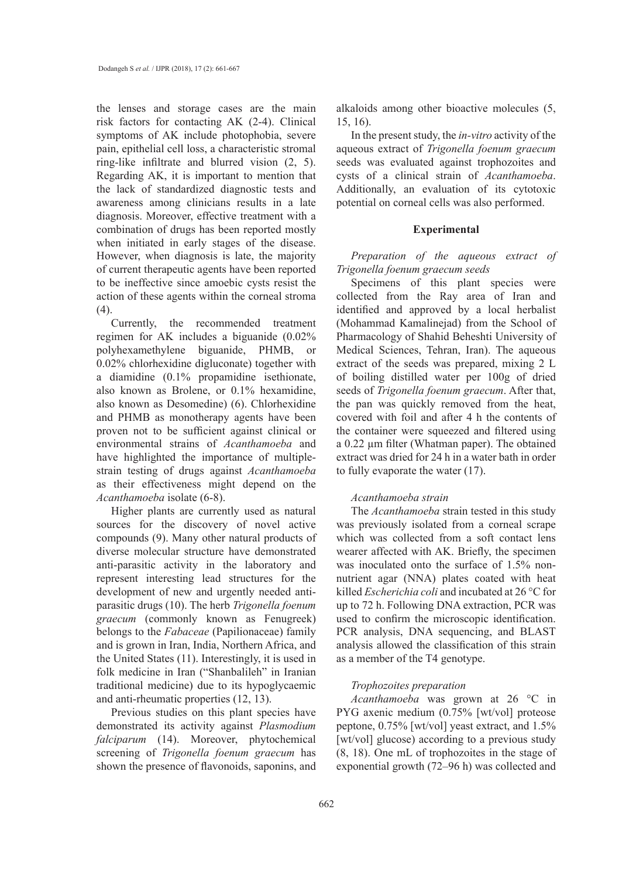the lenses and storage cases are the main risk factors for contacting AK (2-4). Clinical symptoms of AK include photophobia, severe pain, epithelial cell loss, a characteristic stromal ring-like infiltrate and blurred vision (2, 5). Regarding AK, it is important to mention that the lack of standardized diagnostic tests and awareness among clinicians results in a late diagnosis. Moreover, effective treatment with a combination of drugs has been reported mostly when initiated in early stages of the disease. However, when diagnosis is late, the majority of current therapeutic agents have been reported to be ineffective since amoebic cysts resist the action of these agents within the corneal stroma (4).

Currently, the recommended treatment regimen for AK includes a biguanide (0.02% polyhexamethylene biguanide, PHMB, or 0.02% chlorhexidine digluconate) together with a diamidine (0.1% propamidine isethionate, also known as Brolene, or 0.1% hexamidine, also known as Desomedine) (6). Chlorhexidine and PHMB as monotherapy agents have been proven not to be sufficient against clinical or environmental strains of *Acanthamoeba* and have highlighted the importance of multiplestrain testing of drugs against *Acanthamoeba* as their effectiveness might depend on the *Acanthamoeba* isolate (6-8).

Higher plants are currently used as natural sources for the discovery of novel active compounds (9). Many other natural products of diverse molecular structure have demonstrated anti-parasitic activity in the laboratory and represent interesting lead structures for the development of new and urgently needed antiparasitic drugs (10). The herb *Trigonella foenum graecum* (commonly known as Fenugreek) belongs to the *Fabaceae* (Papilionaceae) family and is grown in Iran, India, Northern Africa, and the United States (11). Interestingly, it is used in folk medicine in Iran ("Shanbalileh" in Iranian traditional medicine) due to its hypoglycaemic and anti-rheumatic properties (12, 13).

Previous studies on this plant species have demonstrated its activity against *Plasmodium falciparum* (14). Moreover, phytochemical screening of *Trigonella foenum graecum* has shown the presence of flavonoids, saponins, and alkaloids among other bioactive molecules (5, 15, 16).

In the present study, the *in-vitro* activity of the aqueous extract of *Trigonella foenum graecum*  seeds was evaluated against trophozoites and cysts of a clinical strain of *Acanthamoeba*. Additionally, an evaluation of its cytotoxic potential on corneal cells was also performed.

#### **Experimental**

*Preparation of the aqueous extract of Trigonella foenum graecum seeds*

Specimens of this plant species were collected from the Ray area of Iran and identified and approved by a local herbalist (Mohammad Kamalinejad) from the School of Pharmacology of Shahid Beheshti University of Medical Sciences, Tehran, Iran). The aqueous extract of the seeds was prepared, mixing 2 L of boiling distilled water per 100g of dried seeds of *Trigonella foenum graecum*. After that, the pan was quickly removed from the heat, covered with foil and after 4 h the contents of the container were squeezed and filtered using a 0.22 µm filter (Whatman paper). The obtained extract was dried for 24 h in a water bath in order to fully evaporate the water (17).

#### *Acanthamoeba strain*

The *Acanthamoeba* strain tested in this study was previously isolated from a corneal scrape which was collected from a soft contact lens wearer affected with AK. Briefly, the specimen was inoculated onto the surface of 1.5% nonnutrient agar (NNA) plates coated with heat killed *Escherichia coli* and incubated at 26 °C for up to 72 h. Following DNA extraction, PCR was used to confirm the microscopic identification. PCR analysis, DNA sequencing, and BLAST analysis allowed the classification of this strain as a member of the T4 genotype.

#### *Trophozoites preparation*

*Acanthamoeba* was grown at 26 °C in PYG axenic medium (0.75% [wt/vol] proteose peptone, 0.75% [wt/vol] yeast extract, and 1.5% [wt/vol] glucose) according to a previous study (8, 18). One mL of trophozoites in the stage of exponential growth (72–96 h) was collected and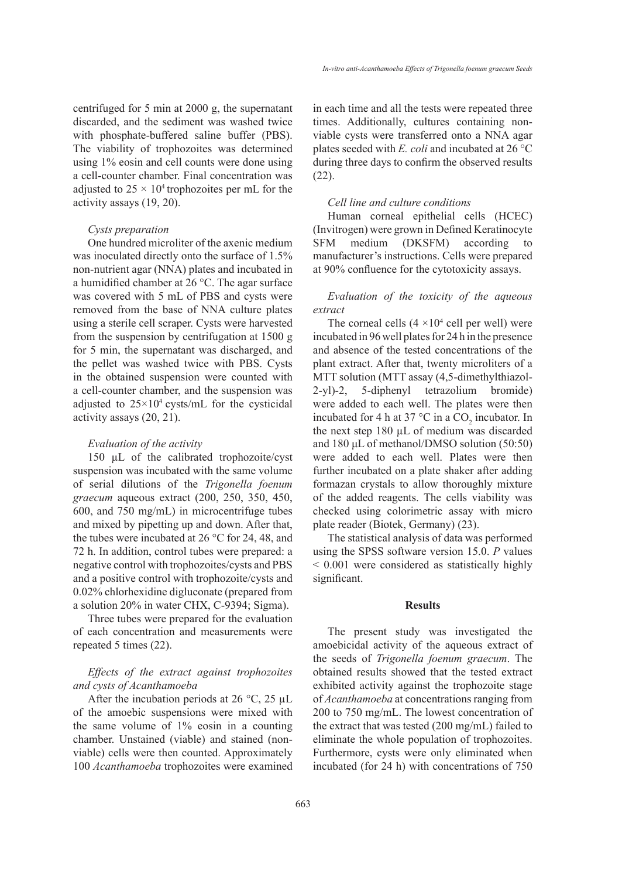centrifuged for 5 min at 2000 g, the supernatant discarded, and the sediment was washed twice with phosphate-buffered saline buffer (PBS). The viability of trophozoites was determined using 1% eosin and cell counts were done using a cell-counter chamber. Final concentration was adjusted to  $25 \times 10^4$  trophozoites per mL for the activity assays (19, 20).

## *Cysts preparation*

One hundred microliter of the axenic medium was inoculated directly onto the surface of 1.5% non-nutrient agar (NNA) plates and incubated in a humidified chamber at 26 °C. The agar surface was covered with 5 mL of PBS and cysts were removed from the base of NNA culture plates using a sterile cell scraper. Cysts were harvested from the suspension by centrifugation at 1500 g for 5 min, the supernatant was discharged, and the pellet was washed twice with PBS. Cysts in the obtained suspension were counted with a cell-counter chamber, and the suspension was adjusted to  $25 \times 10^4$  cysts/mL for the cysticidal activity assays (20, 21).

### *Evaluation of the activity*

150 µL of the calibrated trophozoite/cyst suspension was incubated with the same volume of serial dilutions of the *Trigonella foenum graecum* aqueous extract (200, 250, 350, 450, 600, and 750 mg/mL) in microcentrifuge tubes and mixed by pipetting up and down. After that, the tubes were incubated at 26 °C for 24, 48, and 72 h. In addition, control tubes were prepared: a negative control with trophozoites/cysts and PBS and a positive control with trophozoite/cysts and 0.02% chlorhexidine digluconate (prepared from a solution 20% in water CHX, C-9394; Sigma).

Three tubes were prepared for the evaluation of each concentration and measurements were repeated 5 times (22).

### *Effects of the extract against trophozoites and cysts of Acanthamoeba*

After the incubation periods at 26  $\degree$ C, 25 µL of the amoebic suspensions were mixed with the same volume of 1% eosin in a counting chamber. Unstained (viable) and stained (nonviable) cells were then counted. Approximately 100 *Acanthamoeba* trophozoites were examined in each time and all the tests were repeated three times. Additionally, cultures containing nonviable cysts were transferred onto a NNA agar plates seeded with *E. coli* and incubated at 26 °C during three days to confirm the observed results (22).

### *Cell line and culture conditions*

Human corneal epithelial cells (HCEC) (Invitrogen) were grown in Defined Keratinocyte SFM medium (DKSFM) according to manufacturer's instructions. Cells were prepared at 90% confluence for the cytotoxicity assays.

## *Evaluation of the toxicity of the aqueous extract*

The corneal cells  $(4 \times 10^4 \text{ cell})$  were incubated in 96 well plates for 24 h in the presence and absence of the tested concentrations of the plant extract. After that, twenty microliters of a MTT solution (MTT assay (4,5-dimethylthiazol-2-yl)-2, 5-diphenyl tetrazolium bromide) were added to each well. The plates were then incubated for 4 h at 37 °C in a  $CO_2$  incubator. In the next step 180 µL of medium was discarded and 180 μL of methanol/DMSO solution (50:50) were added to each well. Plates were then further incubated on a plate shaker after adding formazan crystals to allow thoroughly mixture of the added reagents. The cells viability was checked using colorimetric assay with micro plate reader (Biotek, Germany) (23).

The statistical analysis of data was performed using the SPSS software version 15.0. *P* values < 0.001 were considered as statistically highly significant.

### **Results**

The present study was investigated the amoebicidal activity of the aqueous extract of the seeds of *Trigonella foenum graecum*. The obtained results showed that the tested extract exhibited activity against the trophozoite stage of *Acanthamoeba* at concentrations ranging from 200 to 750 mg/mL. The lowest concentration of the extract that was tested (200 mg/mL) failed to eliminate the whole population of trophozoites. Furthermore, cysts were only eliminated when incubated (for 24 h) with concentrations of 750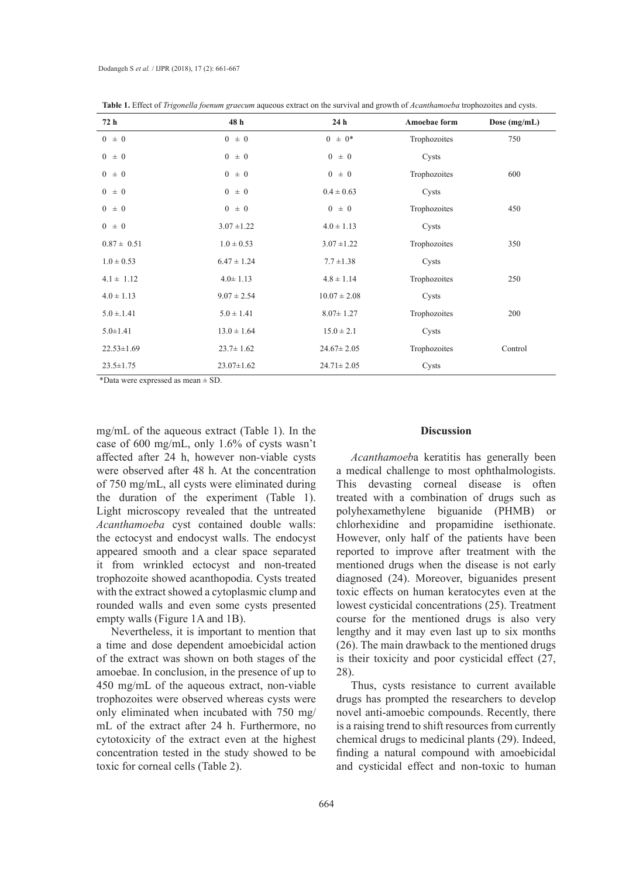| 72 h             | 48 h             | 24 <sub>h</sub>  | Amoebae form | Dose (mg/mL) |
|------------------|------------------|------------------|--------------|--------------|
| $0 \pm 0$        | $0 \pm 0$        | $0 \pm 0^*$      | Trophozoites | 750          |
| $0 \pm 0$        | $0 \pm 0$        | $0 \pm 0$        | Cysts        |              |
| $0 \pm 0$        | $0 \pm 0$        | $0 \pm 0$        | Trophozoites | 600          |
| $0 \pm 0$        | $0 \pm 0$        | $0.4 \pm 0.63$   | Cysts        |              |
| $0 \pm 0$        | $0 \pm 0$        | $0 \pm 0$        | Trophozoites | 450          |
| $0 \pm 0$        | $3.07 \pm 1.22$  | $4.0 \pm 1.13$   | Cysts        |              |
| $0.87 \pm 0.51$  | $1.0 \pm 0.53$   | $3.07 \pm 1.22$  | Trophozoites | 350          |
| $1.0 \pm 0.53$   | $6.47 \pm 1.24$  | $7.7 \pm 1.38$   | Cysts        |              |
| $4.1 \pm 1.12$   | $4.0 \pm 1.13$   | $4.8 \pm 1.14$   | Trophozoites | 250          |
| $4.0 \pm 1.13$   | $9.07 \pm 2.54$  | $10.07 \pm 2.08$ | Cysts        |              |
| $5.0 \pm 1.41$   | $5.0 \pm 1.41$   | $8.07 \pm 1.27$  | Trophozoites | 200          |
| $5.0 \pm 1.41$   | $13.0 \pm 1.64$  | $15.0 \pm 2.1$   | Cysts        |              |
| $22.53 \pm 1.69$ | $23.7 \pm 1.62$  | $24.67 \pm 2.05$ | Trophozoites | Control      |
| $23.5 \pm 1.75$  | $23.07 \pm 1.62$ | $24.71 \pm 2.05$ | Cysts        |              |

**Table 1.** Effect of *Trigonella foenum graecum* aqueous extract on the survival and growth of *Acanthamoeba* trophozoites and cysts.

\*Data were expressed as mean ± SD.

mg/mL of the aqueous extract (Table 1). In the case of 600 mg/mL, only 1.6% of cysts wasn't affected after 24 h, however non-viable cysts were observed after 48 h. At the concentration of 750 mg/mL, all cysts were eliminated during the duration of the experiment (Table 1). Light microscopy revealed that the untreated *Acanthamoeba* cyst contained double walls: the ectocyst and endocyst walls. The endocyst appeared smooth and a clear space separated it from wrinkled ectocyst and non-treated trophozoite showed acanthopodia. Cysts treated with the extract showed a cytoplasmic clump and rounded walls and even some cysts presented empty walls (Figure 1A and 1B).

Nevertheless, it is important to mention that a time and dose dependent amoebicidal action of the extract was shown on both stages of the amoebae. In conclusion, in the presence of up to 450 mg/mL of the aqueous extract, non-viable trophozoites were observed whereas cysts were only eliminated when incubated with 750 mg/ mL of the extract after 24 h. Furthermore, no cytotoxicity of the extract even at the highest concentration tested in the study showed to be toxic for corneal cells (Table 2).

#### **Discussion**

*Acanthamoeb*a keratitis has generally been a medical challenge to most ophthalmologists. This devasting corneal disease is often treated with a combination of drugs such as polyhexamethylene biguanide (PHMB) or chlorhexidine and propamidine isethionate. However, only half of the patients have been reported to improve after treatment with the mentioned drugs when the disease is not early diagnosed (24). Moreover, biguanides present toxic effects on human keratocytes even at the lowest cysticidal concentrations (25). Treatment course for the mentioned drugs is also very lengthy and it may even last up to six months (26). The main drawback to the mentioned drugs is their toxicity and poor cysticidal effect (27, 28).

Thus, cysts resistance to current available drugs has prompted the researchers to develop novel anti-amoebic compounds. Recently, there is a raising trend to shift resources from currently chemical drugs to medicinal plants (29). Indeed, finding a natural compound with amoebicidal and cysticidal effect and non-toxic to human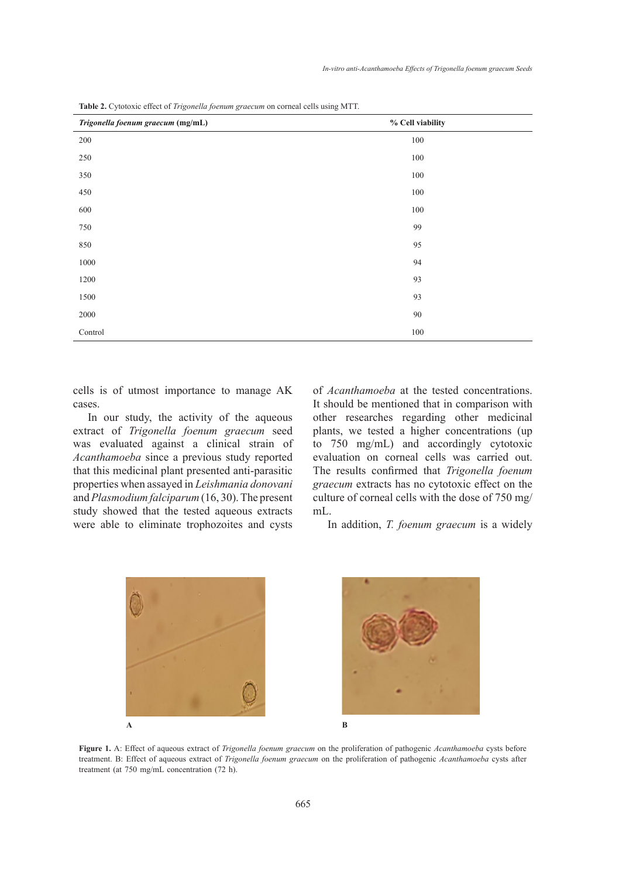| <b>Table 2.</b> Cytotoxic effect of <i>Irigonella foenum graecum</i> on corneal cells using MTT. |                  |  |
|--------------------------------------------------------------------------------------------------|------------------|--|
| Trigonella foenum graecum (mg/mL)                                                                | % Cell viability |  |
| 200                                                                                              | 100              |  |
| 250                                                                                              | 100              |  |
| 350                                                                                              | 100              |  |
| 450                                                                                              | 100              |  |
| 600                                                                                              | 100              |  |
| 750                                                                                              | 99               |  |
| 850                                                                                              | 95               |  |
| 1000                                                                                             | 94               |  |
| 1200                                                                                             | 93               |  |
| 1500                                                                                             | 93               |  |
| 2000                                                                                             | $90\,$           |  |
| Control                                                                                          | 100              |  |

**Table 2.** Cytotoxic effect of *Trigonella foenum graecum* on corneal cells using MTT.

cells is of utmost importance to manage AK cases.

In our study, the activity of the aqueous extract of *Trigonella foenum graecum* seed was evaluated against a clinical strain of *Acanthamoeba* since a previous study reported that this medicinal plant presented anti-parasitic properties when assayed in *Leishmania donovani*  and *Plasmodium falciparum* (16, 30).The present study showed that the tested aqueous extracts mL. were able to eliminate trophozoites and cysts

ttmost importance to manage AK of *Acanthamoeba* at the tested concentrations. It should be mentioned that in comparison with of the aqueous other researches regarding other medicinal graecum seed plants, we tested a higher concentrations (up ical strain of  $\frac{1}{10}$  to 750 mg/mL) and accordingly cytotoxic study reported evaluation on corneal cells was carried out. ed anti-parasitic The results confirmed that *Trigonella foenum* mania donovani graecum extracts has no cytotoxic effect on the 30). The present culture of corneal cells with the dose of 750 mg/ mL.  $\sigma$  manage  $\Delta N$  or *Acummunoeva* at the residu  $\frac{1}{2}$   $\frac{1}{2}$   $\frac{1}{2}$   $\frac{1}{2}$   $\frac{1}{2}$   $\frac{1}{2}$   $\frac{1}{2}$   $\frac{1}{2}$   $\frac{1}{2}$   $\frac{1}{2}$ 

zoites and cysts In addition, *T. foenum graecum* is a widely





**Figure 1.** A: Effect of aqueous extract of *Trigonella foenum graecum* on the proliferation of pathogenic *Acanthamoeba* cysts before treatment. B: Effect of aqueous extract of *Trigonella foenum graecum* on the proliferation of pathogenic *Acanthamoeba* cysts after treatment (at 750 mg/mL concentration (72 h).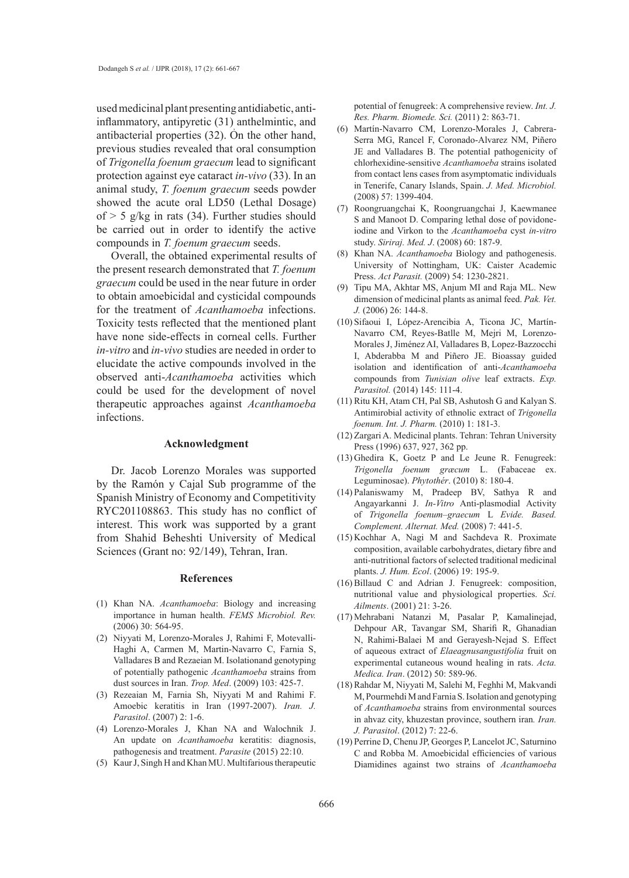used medicinal plant presenting antidiabetic, antiinflammatory, antipyretic (31), anthelmintic, and antibacterial properties (32). On the other hand, previous studies revealed that oral consumption of *Trigonella foenum graecum* lead to significant protection against eye cataract *in-vivo* (33). In an animal study, *T. foenum graecum* seeds powder showed the acute oral LD50 (Lethal Dosage) of  $> 5$  g/kg in rats (34). Further studies should be carried out in order to identify the active compounds in *T. foenum graecum* seeds.

Overall, the obtained experimental results of the present research demonstrated that *T. foenum graecum* could be used in the near future in order to obtain amoebicidal and cysticidal compounds for the treatment of *Acanthamoeba* infections. Toxicity tests reflected that the mentioned plant have none side-effects in corneal cells. Further *in-vitro* and *in-vivo* studies are needed in order to elucidate the active compounds involved in the observed anti-*Acanthamoeba* activities which could be used for the development of novel therapeutic approaches against *Acanthamoeba*  infections.

#### **Acknowledgment**

Dr. Jacob Lorenzo Morales was supported by the Ramón y Cajal Sub programme of the Spanish Ministry of Economy and Competitivity RYC201108863. This study has no conflict of interest. This work was supported by a grant from Shahid Beheshti University of Medical Sciences (Grant no: 92/149), Tehran, Iran.

#### **References**

- (1) Khan NA. *Acanthamoeba*: Biology and increasing importance in human health. *FEMS Microbiol. Rev.*  (2006) 30: 564-95.
- (2) Niyyati M, Lorenzo-Morales J, Rahimi F, Motevalli-Haghi A, Carmen M, Martin-Navarro C, Farnia S, Valladares B and Rezaeian M. Isolationand genotyping of potentially pathogenic *Acanthamoeba* strains from dust sources in Iran. *Trop. Med*. (2009) 103: 425-7.
- Rezeaian M, Farnia Sh, Niyyati M and Rahimi F. (3) Amoebic keratitis in Iran (1997-2007). *Iran. J. Parasitol*. (2007) 2: 1-6.
- Lorenzo-Morales J, Khan NA and Walochnik J. (4) An update on *Acanthamoeba* keratitis: diagnosis, pathogenesis and treatment. *Parasite* (2015) 22:10.
- (5) Kaur J, Singh H and Khan MU. Multifarious therapeutic

potential of fenugreek: A comprehensive review. *Int. J. Res. Pharm. Biomede. Sci.* (2011) 2: 863-71.

- Martín-Navarro CM, Lorenzo-Morales J, Cabrera-(6) Serra MG, Rancel F, Coronado-Alvarez NM, Piñero JE and Valladares B. The potential pathogenicity of chlorhexidine-sensitive *Acanthamoeba* strains isolated from contact lens cases from asymptomatic individuals in Tenerife, Canary Islands, Spain. *J. Med. Microbiol.* (2008) 57: 1399-404.
- Roongruangchai K, Roongruangchai J, Kaewmanee (7) S and Manoot D. Comparing lethal dose of povidoneiodine and Virkon to the *Acanthamoeba* cyst *in-vitro*  study. *Siriraj. Med. J*. (2008) 60: 187-9.
- (8) Khan NA. *Acanthamoeba* Biology and pathogenesis. University of Nottingham, UK: Caister Academic Press. *Act Parasit.* (2009) 54: 1230-2821.
- Tipu MA, Akhtar MS, Anjum MI and Raja ML. New (9) dimension of medicinal plants as animal feed. *Pak. Vet. J.* (2006) 26: 144-8.
- (10) Sifaoui I, López-Arencibia A, Ticona JC, Martín-Navarro CM, Reyes-Batlle M, Mejri M, Lorenzo-Morales J, Jiménez AI, Valladares B, Lopez-Bazzocchi I, Abderabba M and Piñero JE. Bioassay guided isolation and identification of anti-*Acanthamoeba* compounds from *Tunisian olive* leaf extracts. *Exp. Parasitol.* (2014) 145: 111-4.
- $(11)$  Ritu KH, Atam CH, Pal SB, Ashutosh G and Kalyan S. Antimirobial activity of ethnolic extract of *Trigonella foenum. Int. J. Pharm.* (2010) 1: 181-3.
- (12) Zargari A. Medicinal plants. Tehran: Tehran University Press (1996) 637, 927, 362 pp.
- $(13)$  Ghedira K, Goetz P and Le Jeune R. Fenugreek: *Trigonella foenum græcum* L. (Fabaceae ex. Leguminosae). *Phytothér*. (2010) 8: 180-4.
- Palaniswamy M, Pradeep BV, Sathya R and (14) Angayarkanni J. *In-Vitro* Anti-plasmodial Activity of *Trigonella foenum–graecum* L *Evide. Based. Complement. Alternat. Med.* (2008) 7: 441-5.
- (15) Kochhar A, Nagi M and Sachdeva R. Proximate composition, available carbohydrates, dietary fibre and anti-nutritional factors of selected traditional medicinal plants. *J. Hum. Ecol*. (2006) 19: 195-9.
- $(16)$  Billaud C and Adrian J. Fenugreek: composition, nutritional value and physiological properties. *Sci. Ailments*. (2001) 21: 3-26.
- Mehrabani Natanzi M, Pasalar P, Kamalinejad, (17) Dehpour AR, Tavangar SM, Sharifi R, Ghanadian N, Rahimi-Balaei M and Gerayesh-Nejad S. Effect of aqueous extract of *Elaeagnusangustifolia* fruit on experimental cutaneous wound healing in rats. *Acta. Medica. Iran*. (2012) 50: 589-96.
- (18) Rahdar M, Niyyati M, Salehi M, Feghhi M, Makvandi M, Pourmehdi M and Farnia S. Isolation and genotyping of *Acanthamoeba* strains from environmental sources in ahvaz city, khuzestan province, southern iran*. Iran. J. Parasitol*. (2012) 7: 22-6.
- (19) Perrine D, Chenu JP, Georges P, Lancelot JC, Saturnino C and Robba M. Amoebicidal efficiencies of various Diamidines against two strains of *Acanthamoeba*